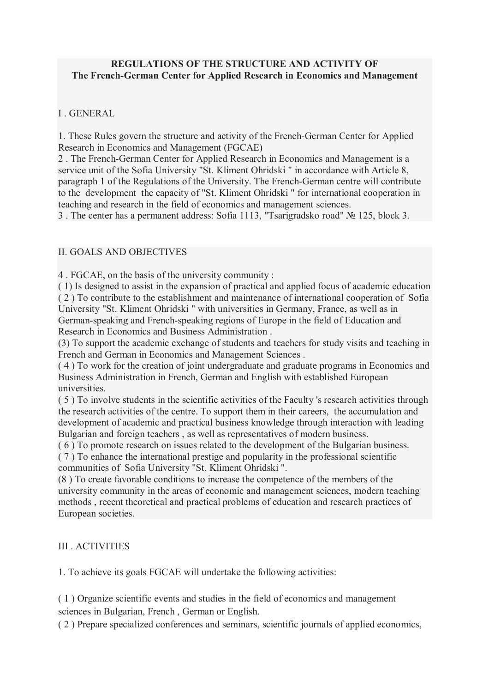### **REGULATIONS OF THE STRUCTURE AND ACTIVITY OF The French-German Center for Applied Research in Economics and Management**

### I . GENERAL

1. These Rules govern the structure and activity of the French-German Center for Applied Research in Economics and Management (FGCAE)

2 . The French-German Center for Applied Research in Economics and Management is a service unit of the Sofia University "St. Kliment Ohridski " in accordance with Article 8, paragraph 1 of the Regulations of the University. The French-German centre will contribute to the development the capacity of "St. Kliment Ohridski " for international cooperation in teaching and research in the field of economics and management sciences.

3 . The center has a permanent address: Sofia 1113, "Tsarigradsko road" № 125, block 3.

## II. GOALS AND OBJECTIVES

4 . FGCAE, on the basis of the university community :

( 1) Is designed to assist in the expansion of practical and applied focus of academic education ( 2 ) To contribute to the establishment and maintenance of international cooperation of Sofia University "St. Kliment Ohridski " with universities in Germany, France, as well as in German-speaking and French-speaking regions of Europe in the field of Education and Research in Economics and Business Administration .

(3) To support the academic exchange of students and teachers for study visits and teaching in French and German in Economics and Management Sciences .

( 4 ) To work for the creation of joint undergraduate and graduate programs in Economics and Business Administration in French, German and English with established European universities.

( 5 ) To involve students in the scientific activities of the Faculty 's research activities through the research activities of the centre. To support them in their careers, the accumulation and development of academic and practical business knowledge through interaction with leading Bulgarian and foreign teachers , as well as representatives of modern business.

( 6 ) To promote research on issues related to the development of the Bulgarian business. ( 7 ) To enhance the international prestige and popularity in the professional scientific

communities of Sofia University "St. Kliment Ohridski ".

(8 ) To create favorable conditions to increase the competence of the members of the university community in the areas of economic and management sciences, modern teaching methods , recent theoretical and practical problems of education and research practices of European societies.

### III ACTIVITIES

1. To achieve its goals FGCAE will undertake the following activities:

( 1 ) Organize scientific events and studies in the field of economics and management sciences in Bulgarian, French , German or English.

( 2 ) Prepare specialized conferences and seminars, scientific journals of applied economics,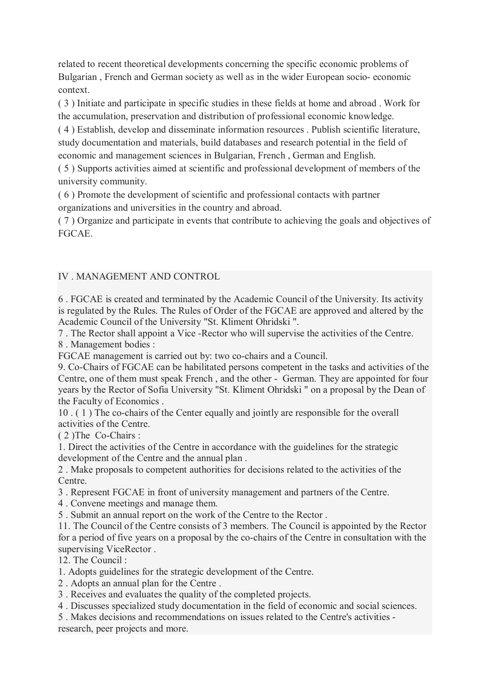related to recent theoretical developments concerning the specific economic problems of Bulgarian , French and German society as well as in the wider European socio- economic context.

( 3 ) Initiate and participate in specific studies in these fields at home and abroad . Work for the accumulation, preservation and distribution of professional economic knowledge.

( 4 ) Establish, develop and disseminate information resources . Publish scientific literature, study documentation and materials, build databases and research potential in the field of economic and management sciences in Bulgarian, French , German and English.

( 5 ) Supports activities aimed at scientific and professional development of members of the university community.

( 6 ) Promote the development of scientific and professional contacts with partner organizations and universities in the country and abroad.

( 7 ) Organize and participate in events that contribute to achieving the goals and objectives of FGCAE.

# IV . MANAGEMENT AND CONTROL

6 . FGCAE is created and terminated by the Academic Council of the University. Its activity is regulated by the Rules. The Rules of Order of the FGCAE are approved and altered by the Academic Council of the University "St. Kliment Ohridski ".

7 . The Rector shall appoint a Vice -Rector who will supervise the activities of the Centre. 8 . Management bodies :

FGCAE management is carried out by: two co-chairs and a Council.

9. Co-Chairs of FGCAE can be habilitated persons competent in the tasks and activities of the Centre, one of them must speak French , and the other - German. They are appointed for four years by the Rector of Sofia University "St. Kliment Ohridski " on a proposal by the Dean of the Faculty of Economics .

10 . ( 1 ) The co-chairs of the Center equally and jointly are responsible for the overall activities of the Centre.

( 2 )The Co-Chairs :

1. Direct the activities of the Centre in accordance with the guidelines for the strategic development of the Centre and the annual plan .

2 . Make proposals to competent authorities for decisions related to the activities of the Centre.

3 . Represent FGCAE in front of university management and partners of the Centre.

4 . Convene meetings and manage them.

5 . Submit an annual report on the work of the Centre to the Rector .

11. The Council of the Centre consists of 3 members. The Council is appointed by the Rector for a period of five years on a proposal by the co-chairs of the Centre in consultation with the supervising ViceRector .

12. The Council :

1. Adopts guidelines for the strategic development of the Centre.

2 . Adopts an annual plan for the Centre .

3 . Receives and evaluates the quality of the completed projects.

4 . Discusses specialized study documentation in the field of economic and social sciences.

5 . Makes decisions and recommendations on issues related to the Centre's activities research, peer projects and more.